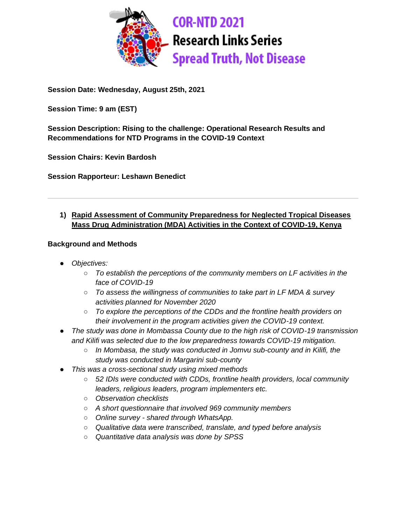

**Session Date: Wednesday, August 25th, 2021**

**Session Time: 9 am (EST)**

**Session Description: Rising to the challenge: Operational Research Results and Recommendations for NTD Programs in the COVID-19 Context**

**Session Chairs: Kevin Bardosh**

**Session Rapporteur: Leshawn Benedict**

## **1) Rapid Assessment of Community Preparedness for Neglected Tropical Diseases Mass Drug Administration (MDA) Activities in the Context of COVID-19, Kenya**

- *Objectives:*
	- *To establish the perceptions of the community members on LF activities in the face of COVID-19*
	- *To assess the willingness of communities to take part in LF MDA & survey activities planned for November 2020*
	- *To explore the perceptions of the CDDs and the frontline health providers on their involvement in the program activities given the COVID-19 context.*
- *The study was done in Mombassa County due to the high risk of COVID-19 transmission and Kilifi was selected due to the low preparedness towards COVID-19 mitigation.*
	- *In Mombasa, the study was conducted in Jomvu sub-county and in Kilifi, the study was conducted in Margarini sub-county*
- *This was a cross-sectional study using mixed methods* 
	- *52 IDIs were conducted with CDDs, frontline health providers, local community leaders, religious leaders, program implementers etc.*
	- *Observation checklists*
	- *A short questionnaire that involved 969 community members*
	- *Online survey - shared through WhatsApp.*
	- *Qualitative data were transcribed, translate, and typed before analysis*
	- *Quantitative data analysis was done by SPSS*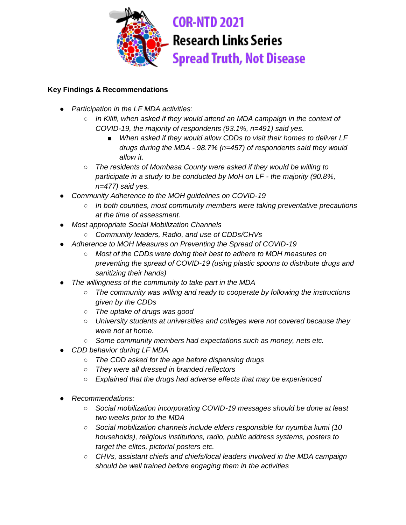

# **Research Links Series Spread Truth, Not Disease**

- *Participation in the LF MDA activities:*
	- *In Kilifi, when asked if they would attend an MDA campaign in the context of COVID-19, the majority of respondents (93.1%, n=491) said yes.*
		- *When asked if they would allow CDDs to visit their homes to deliver LF drugs during the MDA - 98.7% (n=457) of respondents said they would allow it.*
	- *The residents of Mombasa County were asked if they would be willing to participate in a study to be conducted by MoH on LF - the majority (90.8%, n=477) said yes.*
- *Community Adherence to the MOH guidelines on COVID-19*
	- *In both counties, most community members were taking preventative precautions at the time of assessment.*
- *Most appropriate Social Mobilization Channels* 
	- *Community leaders, Radio, and use of CDDs/CHVs*
- Adherence to MOH Measures on Preventing the Spread of COVID-19
	- *Most of the CDDs were doing their best to adhere to MOH measures on preventing the spread of COVID-19 (using plastic spoons to distribute drugs and sanitizing their hands)*
- The willingness of the community to take part in the MDA
	- *The community was willing and ready to cooperate by following the instructions given by the CDDs*
	- *The uptake of drugs was good*
	- *University students at universities and colleges were not covered because they were not at home.*
	- *Some community members had expectations such as money, nets etc.*
- *CDD behavior during LF MDA*
	- *The CDD asked for the age before dispensing drugs*
	- *They were all dressed in branded reflectors*
	- *Explained that the drugs had adverse effects that may be experienced*
- *Recommendations:*
	- *Social mobilization incorporating COVID-19 messages should be done at least two weeks prior to the MDA*
	- *Social mobilization channels include elders responsible for nyumba kumi (10 households), religious institutions, radio, public address systems, posters to target the elites, pictorial posters etc.*
	- *CHVs, assistant chiefs and chiefs/local leaders involved in the MDA campaign should be well trained before engaging them in the activities*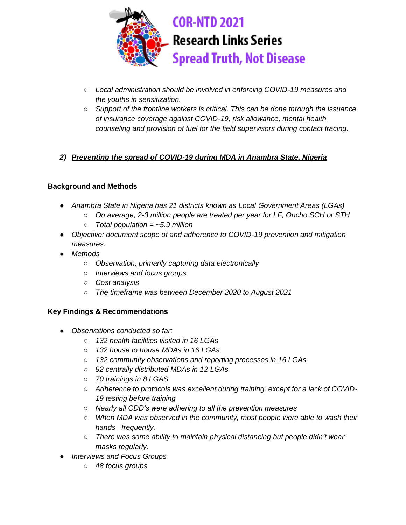

- *Local administration should be involved in enforcing COVID-19 measures and the youths in sensitization.*
- *Support of the frontline workers is critical. This can be done through the issuance of insurance coverage against COVID-19, risk allowance, mental health counseling and provision of fuel for the field supervisors during contact tracing.*

## *2) Preventing the spread of COVID-19 during MDA in Anambra State, Nigeria*

#### **Background and Methods**

- *Anambra State in Nigeria has 21 districts known as Local Government Areas (LGAs)*
	- *On average, 2-3 million people are treated per year for LF, Oncho SCH or STH*
	- *Total population = ~5.9 million*
- *Objective: document scope of and adherence to COVID-19 prevention and mitigation measures.*
- *Methods*
	- *Observation, primarily capturing data electronically*
	- *Interviews and focus groups*
	- *Cost analysis*
	- *The timeframe was between December 2020 to August 2021*

- *Observations conducted so far:*
	- *132 health facilities visited in 16 LGAs*
	- *132 house to house MDAs in 16 LGAs*
	- *132 community observations and reporting processes in 16 LGAs*
	- *92 centrally distributed MDAs in 12 LGAs*
	- *70 trainings in 8 LGAS*
	- Adherence to protocols was excellent during training, except for a lack of COVID-*19 testing before training*
	- *Nearly all CDD's were adhering to all the prevention measures*
	- *When MDA was observed in the community, most people were able to wash their hands frequently.*
	- *There was some ability to maintain physical distancing but people didn't wear masks regularly.*
- *Interviews and Focus Groups* 
	- *48 focus groups*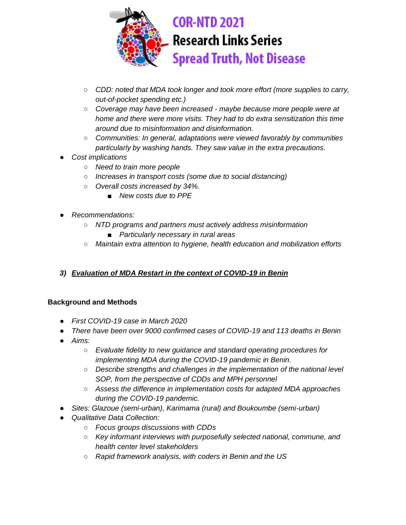

- *CDD: noted that MDA took longer and took more effort (more supplies to carry, out-of-pocket spending etc.)*
- *Coverage may have been increased - maybe because more people were at home and there were more visits. They had to do extra sensitization this time around due to misinformation and disinformation.*
- *Communities: In general, adaptations were viewed favorably by communities particularly by washing hands. They saw value in the extra precautions.*
- *Cost implications*
	- *Need to train more people*
	- *Increases in transport costs (some due to social distancing)*
	- *Overall costs increased by 34%.*
		- *New costs due to PPE*
- *Recommendations:* 
	- *NTD programs and partners must actively address misinformation*
		- *Particularly necessary in rural areas*
	- *Maintain extra attention to hygiene, health education and mobilization efforts*

## *3) Evaluation of MDA Restart in the context of COVID-19 in Benin*

- *First COVID-19 case in March 2020*
- *There have been over 9000 confirmed cases of COVID-19 and 113 deaths in Benin*
- *Aims:*
	- *Evaluate fidelity to new guidance and standard operating procedures for implementing MDA during the COVID-19 pandemic in Benin.*
	- *Describe strengths and challenges in the implementation of the national level SOP, from the perspective of CDDs and MPH personnel*
	- *Assess the difference in implementation costs for adapted MDA approaches during the COVID-19 pandemic.*
- *Sites: Glazoue (semi-urban), Karimama (rural) and Boukoumbe (semi-urban)*
- *Qualitative Data Collection:*
	- *Focus groups discussions with CDDs*
	- *Key informant interviews with purposefully selected national, commune, and health center level stakeholders*
	- *Rapid framework analysis, with coders in Benin and the US*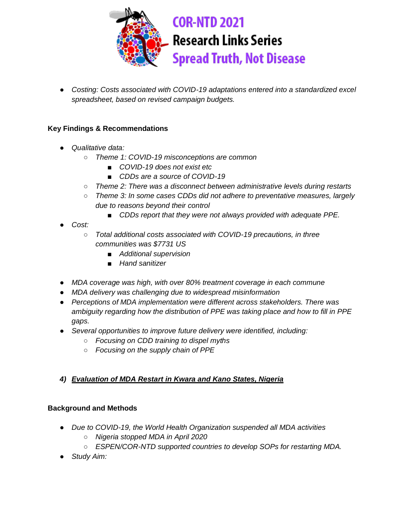

● *Costing: Costs associated with COVID-19 adaptations entered into a standardized excel spreadsheet, based on revised campaign budgets.*

#### **Key Findings & Recommendations**

- *Qualitative data:*
	- *Theme 1: COVID-19 misconceptions are common*
		- *COVID-19 does not exist etc*
		- *CDDs are a source of COVID-19*
	- *Theme 2: There was a disconnect between administrative levels during restarts*
	- *Theme 3: In some cases CDDs did not adhere to preventative measures, largely due to reasons beyond their control*
		- CDDs report that they were not always provided with adequate PPE.
- *Cost:*
	- *Total additional costs associated with COVID-19 precautions, in three communities was \$7731 US*
		- *Additional supervision*
		- *Hand sanitizer*
- *MDA coverage was high, with over 80% treatment coverage in each commune*
- *MDA delivery was challenging due to widespread misinformation*
- *Perceptions of MDA implementation were different across stakeholders. There was ambiguity regarding how the distribution of PPE was taking place and how to fill in PPE gaps.*
- *Several opportunities to improve future delivery were identified, including:*
	- *Focusing on CDD training to dispel myths*
	- *Focusing on the supply chain of PPE*

## *4) Evaluation of MDA Restart in Kwara and Kano States, Nigeria*

- *Due to COVID-19, the World Health Organization suspended all MDA activities*
	- *Nigeria stopped MDA in April 2020*
	- *ESPEN/COR-NTD supported countries to develop SOPs for restarting MDA.*
- *Study Aim:*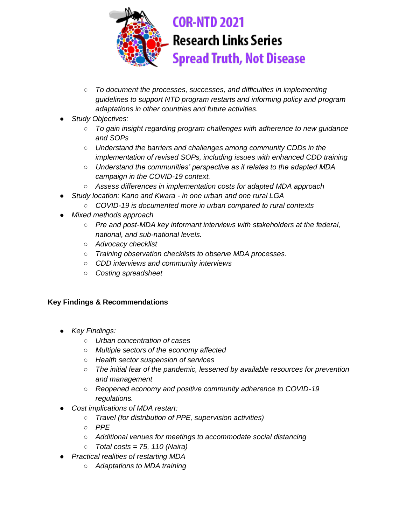

- *To document the processes, successes, and difficulties in implementing guidelines to support NTD program restarts and informing policy and program adaptations in other countries and future activities.*
- Study Objectives:
	- *To gain insight regarding program challenges with adherence to new guidance and SOPs*
	- *Understand the barriers and challenges among community CDDs in the implementation of revised SOPs, including issues with enhanced CDD training*
	- *Understand the communities' perspective as it relates to the adapted MDA campaign in the COVID-19 context.*
	- *Assess differences in implementation costs for adapted MDA approach*
	- *Study location: Kano and Kwara - in one urban and one rural LGA*
		- *COVID-19 is documented more in urban compared to rural contexts*
- *Mixed methods approach*
	- *Pre and post-MDA key informant interviews with stakeholders at the federal, national, and sub-national levels.*
	- *Advocacy checklist*
	- *Training observation checklists to observe MDA processes.*
	- *CDD interviews and community interviews*
	- *Costing spreadsheet*

- *Key Findings:*
	- *Urban concentration of cases*
	- *Multiple sectors of the economy affected*
	- *Health sector suspension of services*
	- *The initial fear of the pandemic, lessened by available resources for prevention and management*
	- *Reopened economy and positive community adherence to COVID-19 regulations.*
- *Cost implications of MDA restart:*
	- *Travel (for distribution of PPE, supervision activities)*
	- *PPE*
	- *Additional venues for meetings to accommodate social distancing*
	- *Total costs = 75, 110 (Naira)*
	- *Practical realities of restarting MDA*
		- *Adaptations to MDA training*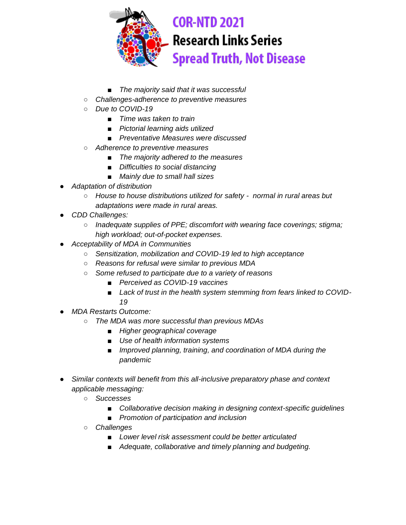

- *The majority said that it was successful*
- *Challenges-adherence to preventive measures*
- *Due to COVID-19*
	- *Time was taken to train*
	- *Pictorial learning aids utilized*
	- *Preventative Measures were discussed*
- *Adherence to preventive measures*
	- *The majority adhered to the measures*
	- *Difficulties to social distancing*
	- *Mainly due to small hall sizes*
- *Adaptation of distribution* 
	- *House to house distributions utilized for safety normal in rural areas but adaptations were made in rural areas.*
- *CDD Challenges:*
	- *Inadequate supplies of PPE; discomfort with wearing face coverings; stigma; high workload; out-of-pocket expenses.*
- *Acceptability of MDA in Communities*
	- *Sensitization, mobilization and COVID-19 led to high acceptance*
	- *Reasons for refusal were similar to previous MDA*
	- *Some refused to participate due to a variety of reasons*
		- *Perceived as COVID-19 vaccines*
		- *Lack of trust in the health system stemming from fears linked to COVID-19*
- *MDA Restarts Outcome:*
	- *The MDA was more successful than previous MDAs*
		- *Higher geographical coverage*
		- *Use of health information systems*
		- *Improved planning, training, and coordination of MDA during the pandemic*
- *Similar contexts will benefit from this all-inclusive preparatory phase and context applicable messaging:*
	- *Successes*
		- Collaborative decision making in designing context-specific guidelines
		- *Promotion of participation and inclusion*
	- *Challenges*
		- *Lower level risk assessment could be better articulated*
		- *Adequate, collaborative and timely planning and budgeting.*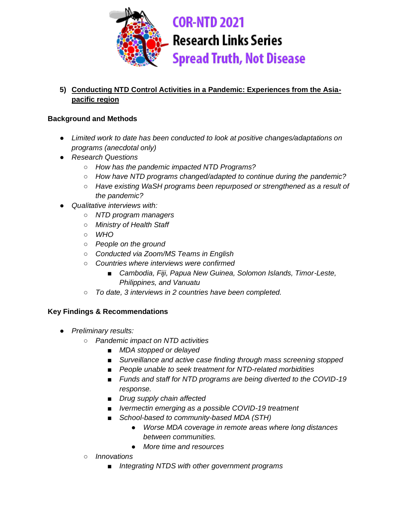

## **5) Conducting NTD Control Activities in a Pandemic: Experiences from the Asiapacific region**

#### **Background and Methods**

- *Limited work to date has been conducted to look at positive changes/adaptations on programs (anecdotal only)*
- *Research Questions*
	- *How has the pandemic impacted NTD Programs?*
	- *How have NTD programs changed/adapted to continue during the pandemic?*
	- *Have existing WaSH programs been repurposed or strengthened as a result of the pandemic?*
- *Qualitative interviews with:*
	- *NTD program managers*
	- *Ministry of Health Staff*
	- *WHO*
	- *People on the ground*
	- *Conducted via Zoom/MS Teams in English*
	- *Countries where interviews were confirmed*
		- *Cambodia, Fiji, Papua New Guinea, Solomon Islands, Timor-Leste, Philippines, and Vanuatu*
	- *To date, 3 interviews in 2 countries have been completed.*

- *Preliminary results:*
	- *Pandemic impact on NTD activities*
		- *MDA stopped or delayed*
		- *Surveillance and active case finding through mass screening stopped*
		- *People unable to seek treatment for NTD-related morbidities*
		- *Funds and staff for NTD programs are being diverted to the COVID-19 response.*
		- *Drug supply chain affected*
		- *Ivermectin emerging as a possible COVID-19 treatment*
		- School-based to community-based MDA (STH)
			- *Worse MDA coverage in remote areas where long distances between communities.*
			- *More time and resources*
	- *Innovations*
		- *Integrating NTDS with other government programs*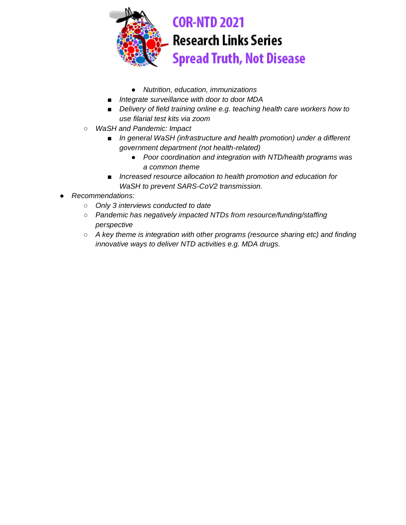

- *Nutrition, education, immunizations*
- *Integrate surveillance with door to door MDA*
- *Delivery of field training online e.g. teaching health care workers how to use filarial test kits via zoom*
- *WaSH and Pandemic: Impact*
	- *In general WaSH (infrastructure and health promotion) under a different government department (not health-related)*
		- *Poor coordination and integration with NTD/health programs was a common theme*
	- *Increased resource allocation to health promotion and education for WaSH to prevent SARS-CoV2 transmission.*
- *Recommendations:*
	- *Only 3 interviews conducted to date*
	- *Pandemic has negatively impacted NTDs from resource/funding/staffing perspective*
	- *A key theme is integration with other programs (resource sharing etc) and finding innovative ways to deliver NTD activities e.g. MDA drugs.*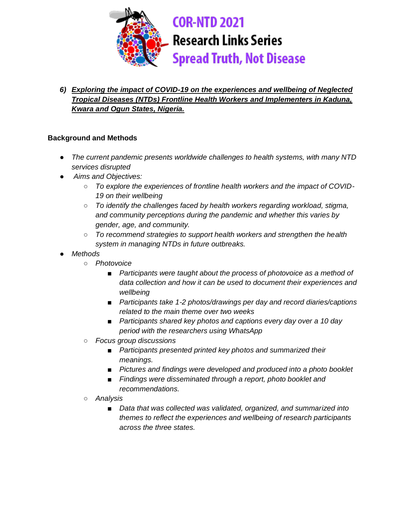

*6) Exploring the impact of COVID-19 on the experiences and wellbeing of Neglected Tropical Diseases (NTDs) Frontline Health Workers and Implementers in Kaduna, Kwara and Ogun States, Nigeria.*

- *The current pandemic presents worldwide challenges to health systems, with many NTD services disrupted*
- *Aims and Objectives:*
	- To explore the experiences of frontline health workers and the impact of COVID-*19 on their wellbeing*
	- *To identify the challenges faced by health workers regarding workload, stigma, and community perceptions during the pandemic and whether this varies by gender, age, and community.*
	- *To recommend strategies to support health workers and strengthen the health system in managing NTDs in future outbreaks.*
- *Methods*
	- *Photovoice*
		- *Participants were taught about the process of photovoice as a method of data collection and how it can be used to document their experiences and wellbeing*
		- *Participants take 1-2 photos/drawings per day and record diaries/captions related to the main theme over two weeks*
		- *Participants shared key photos and captions every day over a 10 day period with the researchers using WhatsApp*
	- *Focus group discussions*
		- *Participants presented printed key photos and summarized their meanings.*
		- *Pictures and findings were developed and produced into a photo booklet*
		- *Findings were disseminated through a report, photo booklet and recommendations.*
	- *Analysis*
		- *Data that was collected was validated, organized, and summarized into themes to reflect the experiences and wellbeing of research participants across the three states.*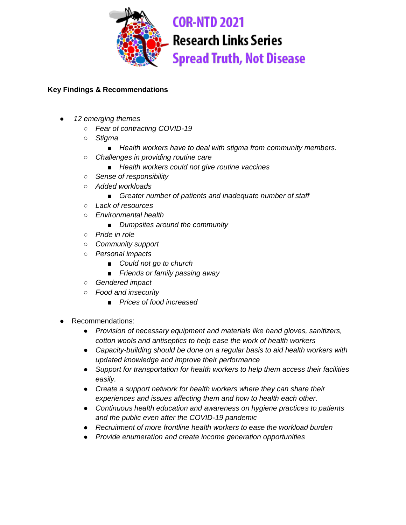

- *12 emerging themes*
	- *Fear of contracting COVID-19*
	- *Stigma* 
		- Health workers have to deal with stigma from community members.
	- *Challenges in providing routine care*
		- *Health workers could not give routine vaccines*
	- *Sense of responsibility*
	- *Added workloads*
		- *Greater number of patients and inadequate number of staff*
	- *Lack of resources*
	- *Environmental health*
		- *Dumpsites around the community*
	- *Pride in role*
	- *Community support*
	- *Personal impacts*
		- *Could not go to church*
		- *Friends or family passing away*
	- *Gendered impact*
	- *Food and insecurity*
		- *Prices of food increased*
- Recommendations:
	- *Provision of necessary equipment and materials like hand gloves, sanitizers, cotton wools and antiseptics to help ease the work of health workers*
	- *Capacity-building should be done on a regular basis to aid health workers with updated knowledge and improve their performance*
	- *Support for transportation for health workers to help them access their facilities easily.*
	- *Create a support network for health workers where they can share their experiences and issues affecting them and how to health each other.*
	- *Continuous health education and awareness on hygiene practices to patients and the public even after the COVID-19 pandemic*
	- *Recruitment of more frontline health workers to ease the workload burden*
	- *Provide enumeration and create income generation opportunities*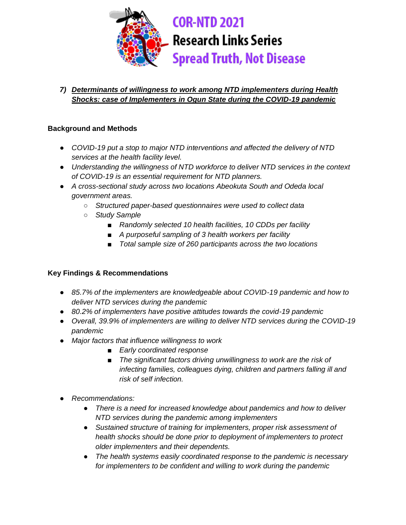

## *7) Determinants of willingness to work among NTD implementers during Health Shocks: case of Implementers in Ogun State during the COVID-19 pandemic*

#### **Background and Methods**

- *COVID-19 put a stop to major NTD interventions and affected the delivery of NTD services at the health facility level.*
- *Understanding the willingness of NTD workforce to deliver NTD services in the context of COVID-19 is an essential requirement for NTD planners.*
- *A cross-sectional study across two locations Abeokuta South and Odeda local government areas.*
	- *Structured paper-based questionnaires were used to collect data*
	- *Study Sample*
		- *Randomly selected 10 health facilities, 10 CDDs per facility*
		- *A purposeful sampling of 3 health workers per facility*
		- *Total sample size of 260 participants across the two locations*

- *85.7% of the implementers are knowledgeable about COVID-19 pandemic and how to deliver NTD services during the pandemic*
- *80.2% of implementers have positive attitudes towards the covid-19 pandemic*
- *Overall, 39.9% of implementers are willing to deliver NTD services during the COVID-19 pandemic*
- *Major factors that influence willingness to work*
	- *Early coordinated response*
	- *The significant factors driving unwillingness to work are the risk of infecting families, colleagues dying, children and partners falling ill and risk of self infection.*
- *Recommendations:* 
	- *There is a need for increased knowledge about pandemics and how to deliver NTD services during the pandemic among implementers*
	- *Sustained structure of training for implementers, proper risk assessment of health shocks should be done prior to deployment of implementers to protect older implementers and their dependents.*
	- *The health systems easily coordinated response to the pandemic is necessary for implementers to be confident and willing to work during the pandemic*